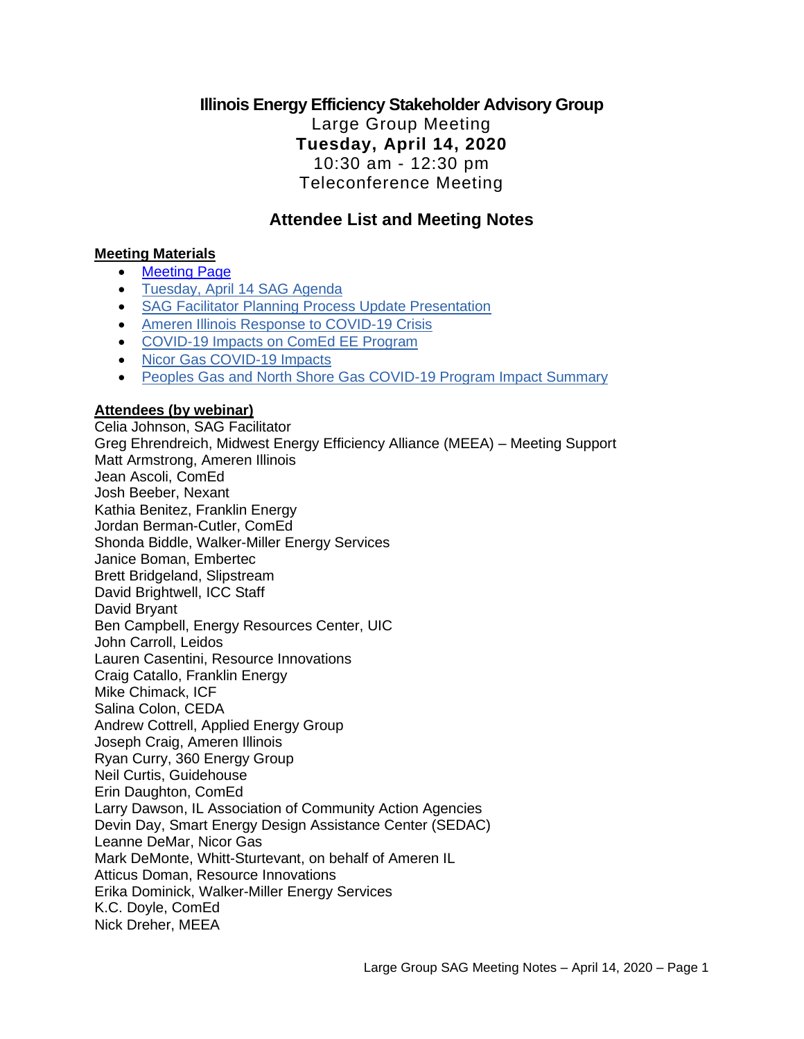## **Illinois Energy Efficiency Stakeholder Advisory Group**  Large Group Meeting **Tuesday, April 14, 2020** 10:30 am - 12:30 pm Teleconference Meeting

## **Attendee List and Meeting Notes**

#### **Meeting Materials**

- [Meeting Page](https://www.ilsag.info/event/tuesday-april-14-sag-meeting/)
- [Tuesday, April 14 SAG Agenda](https://s3.amazonaws.com/ilsag/IL-EE-SAG_Tuesday-April-14-2020_Meeting_Agenda_Final.pdf)
- [SAG Facilitator Planning Process Update Presentation](https://s3.amazonaws.com/ilsag/SAG_Portfolio-Planning-Process_Update_SAG_Facilitator_April-14-2020_Final-1.pdf)
- [Ameren Illinois Response to COVID-19 Crisis](https://s3.amazonaws.com/ilsag/AIC-presentation-to-SAG-April-14-COVID-19-Impacts.pdf)
- [COVID-19 Impacts on ComEd EE Program](https://s3.amazonaws.com/ilsag/ComEd_2020-April-SAG_FINAL.pdf)
- [Nicor Gas COVID-19 Impacts](https://s3.amazonaws.com/ilsag/SAG-Update_Nicor-Gas_COVID-19-Impacts_April-14-2020.pdf)
- [Peoples Gas and North Shore Gas COVID-19 Program Impact Summary](https://s3.amazonaws.com/ilsag/PGLNSG_SAG_COVID19-Impacts_04132020_FINAL.pdf)

#### **Attendees (by webinar)**

Celia Johnson, SAG Facilitator Greg Ehrendreich, Midwest Energy Efficiency Alliance (MEEA) – Meeting Support Matt Armstrong, Ameren Illinois Jean Ascoli, ComEd Josh Beeber, Nexant Kathia Benitez, Franklin Energy Jordan Berman-Cutler, ComEd Shonda Biddle, Walker-Miller Energy Services Janice Boman, Embertec Brett Bridgeland, Slipstream David Brightwell, ICC Staff David Bryant Ben Campbell, Energy Resources Center, UIC John Carroll, Leidos Lauren Casentini, Resource Innovations Craig Catallo, Franklin Energy Mike Chimack, ICF Salina Colon, CEDA Andrew Cottrell, Applied Energy Group Joseph Craig, Ameren Illinois Ryan Curry, 360 Energy Group Neil Curtis, Guidehouse Erin Daughton, ComEd Larry Dawson, IL Association of Community Action Agencies Devin Day, Smart Energy Design Assistance Center (SEDAC) Leanne DeMar, Nicor Gas Mark DeMonte, Whitt-Sturtevant, on behalf of Ameren IL Atticus Doman, Resource Innovations Erika Dominick, Walker-Miller Energy Services K.C. Doyle, ComEd Nick Dreher, MEEA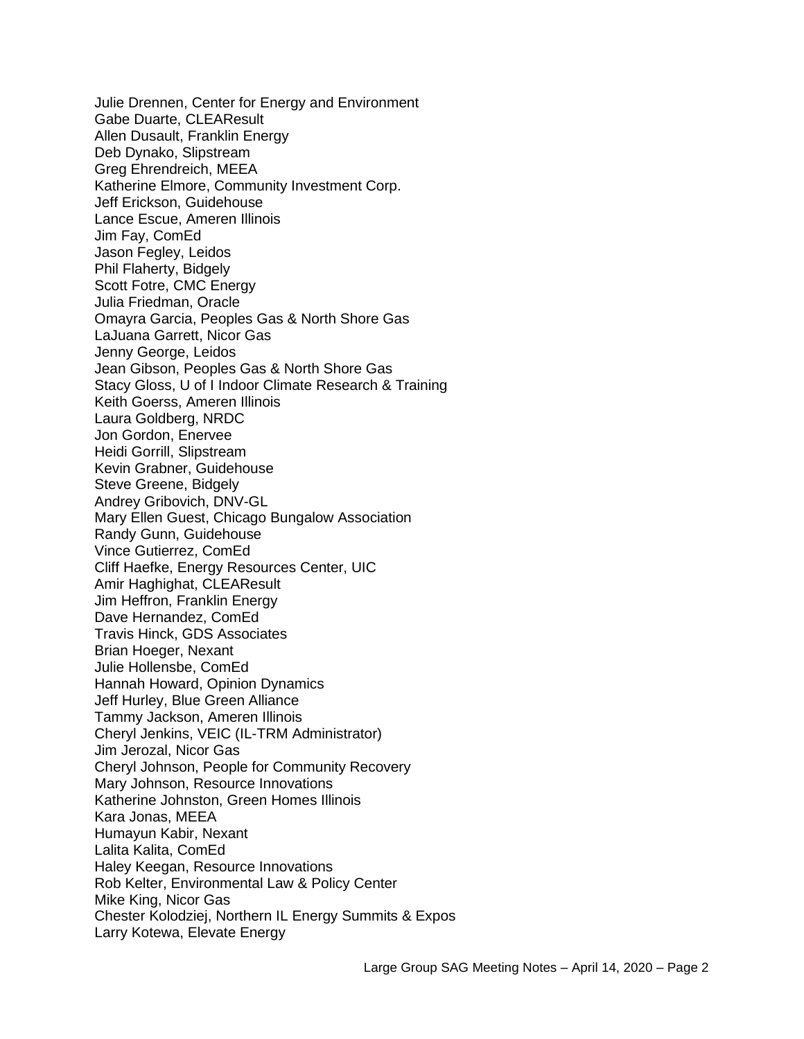Julie Drennen, Center for Energy and Environment Gabe Duarte, CLEAResult Allen Dusault, Franklin Energy Deb Dynako, Slipstream Greg Ehrendreich, MEEA Katherine Elmore, Community Investment Corp. Jeff Erickson, Guidehouse Lance Escue, Ameren Illinois Jim Fay, ComEd Jason Fegley, Leidos Phil Flaherty, Bidgely Scott Fotre, CMC Energy Julia Friedman, Oracle Omayra Garcia, Peoples Gas & North Shore Gas LaJuana Garrett, Nicor Gas Jenny George, Leidos Jean Gibson, Peoples Gas & North Shore Gas Stacy Gloss, U of I Indoor Climate Research & Training Keith Goerss, Ameren Illinois Laura Goldberg, NRDC Jon Gordon, Enervee Heidi Gorrill, Slipstream Kevin Grabner, Guidehouse Steve Greene, Bidgely Andrey Gribovich, DNV-GL Mary Ellen Guest, Chicago Bungalow Association Randy Gunn, Guidehouse Vince Gutierrez, ComEd Cliff Haefke, Energy Resources Center, UIC Amir Haghighat, CLEAResult Jim Heffron, Franklin Energy Dave Hernandez, ComEd Travis Hinck, GDS Associates Brian Hoeger, Nexant Julie Hollensbe, ComEd Hannah Howard, Opinion Dynamics Jeff Hurley, Blue Green Alliance Tammy Jackson, Ameren Illinois Cheryl Jenkins, VEIC (IL-TRM Administrator) Jim Jerozal, Nicor Gas Cheryl Johnson, People for Community Recovery Mary Johnson, Resource Innovations Katherine Johnston, Green Homes Illinois Kara Jonas, MEEA Humayun Kabir, Nexant Lalita Kalita, ComEd Haley Keegan, Resource Innovations Rob Kelter, Environmental Law & Policy Center Mike King, Nicor Gas Chester Kolodziej, Northern IL Energy Summits & Expos Larry Kotewa, Elevate Energy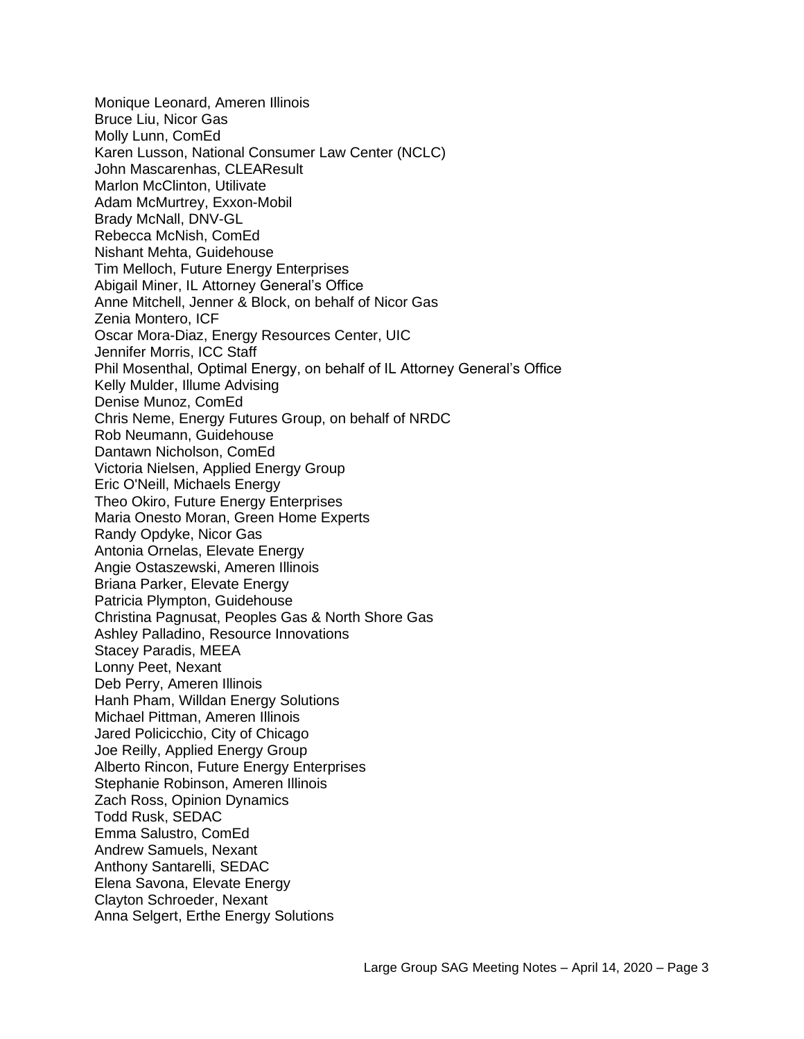Monique Leonard, Ameren Illinois Bruce Liu, Nicor Gas Molly Lunn, ComEd Karen Lusson, National Consumer Law Center (NCLC) John Mascarenhas, CLEAResult Marlon McClinton, Utilivate Adam McMurtrey, Exxon-Mobil Brady McNall, DNV-GL Rebecca McNish, ComEd Nishant Mehta, Guidehouse Tim Melloch, Future Energy Enterprises Abigail Miner, IL Attorney General's Office Anne Mitchell, Jenner & Block, on behalf of Nicor Gas Zenia Montero, ICF Oscar Mora-Diaz, Energy Resources Center, UIC Jennifer Morris, ICC Staff Phil Mosenthal, Optimal Energy, on behalf of IL Attorney General's Office Kelly Mulder, Illume Advising Denise Munoz, ComEd Chris Neme, Energy Futures Group, on behalf of NRDC Rob Neumann, Guidehouse Dantawn Nicholson, ComEd Victoria Nielsen, Applied Energy Group Eric O'Neill, Michaels Energy Theo Okiro, Future Energy Enterprises Maria Onesto Moran, Green Home Experts Randy Opdyke, Nicor Gas Antonia Ornelas, Elevate Energy Angie Ostaszewski, Ameren Illinois Briana Parker, Elevate Energy Patricia Plympton, Guidehouse Christina Pagnusat, Peoples Gas & North Shore Gas Ashley Palladino, Resource Innovations Stacey Paradis, MEEA Lonny Peet, Nexant Deb Perry, Ameren Illinois Hanh Pham, Willdan Energy Solutions Michael Pittman, Ameren Illinois Jared Policicchio, City of Chicago Joe Reilly, Applied Energy Group Alberto Rincon, Future Energy Enterprises Stephanie Robinson, Ameren Illinois Zach Ross, Opinion Dynamics Todd Rusk, SEDAC Emma Salustro, ComEd Andrew Samuels, Nexant Anthony Santarelli, SEDAC Elena Savona, Elevate Energy Clayton Schroeder, Nexant Anna Selgert, Erthe Energy Solutions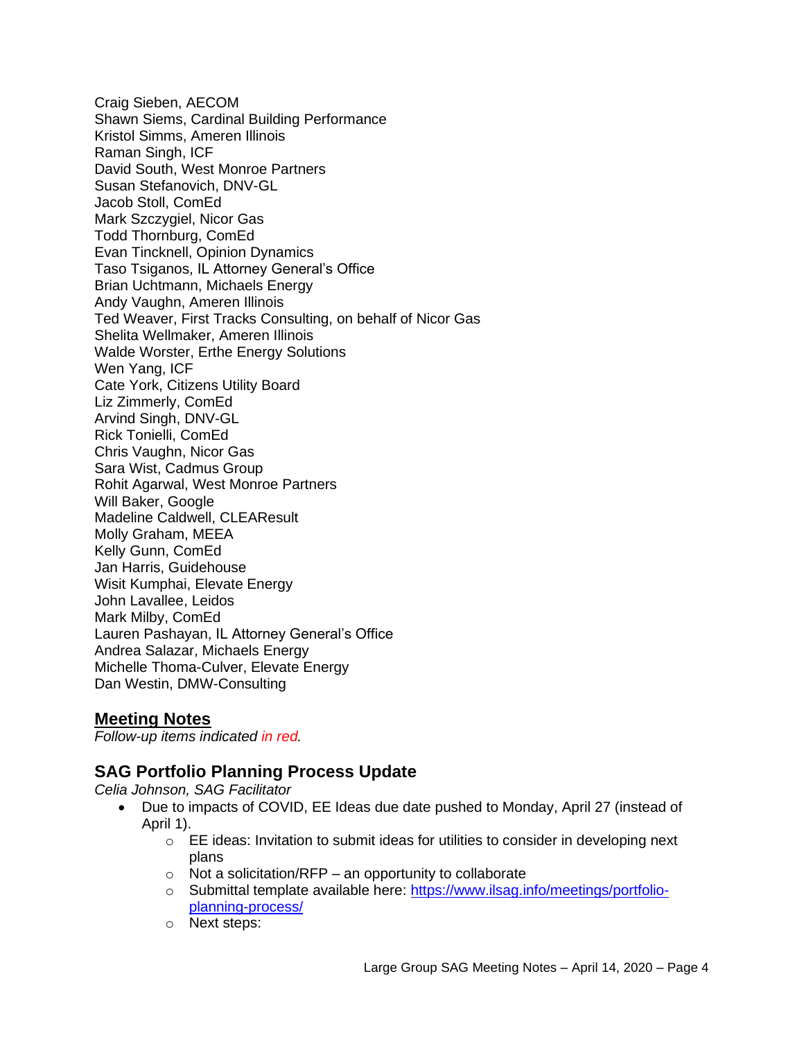Craig Sieben, AECOM Shawn Siems, Cardinal Building Performance Kristol Simms, Ameren Illinois Raman Singh, ICF David South, West Monroe Partners Susan Stefanovich, DNV-GL Jacob Stoll, ComEd Mark Szczygiel, Nicor Gas Todd Thornburg, ComEd Evan Tincknell, Opinion Dynamics Taso Tsiganos, IL Attorney General's Office Brian Uchtmann, Michaels Energy Andy Vaughn, Ameren Illinois Ted Weaver, First Tracks Consulting, on behalf of Nicor Gas Shelita Wellmaker, Ameren Illinois Walde Worster, Erthe Energy Solutions Wen Yang, ICF Cate York, Citizens Utility Board Liz Zimmerly, ComEd Arvind Singh, DNV-GL Rick Tonielli, ComEd Chris Vaughn, Nicor Gas Sara Wist, Cadmus Group Rohit Agarwal, West Monroe Partners Will Baker, Google Madeline Caldwell, CLEAResult Molly Graham, MEEA Kelly Gunn, ComEd Jan Harris, Guidehouse Wisit Kumphai, Elevate Energy John Lavallee, Leidos Mark Milby, ComEd Lauren Pashayan, IL Attorney General's Office Andrea Salazar, Michaels Energy Michelle Thoma-Culver, Elevate Energy Dan Westin, DMW-Consulting

## **Meeting Notes**

*Follow-up items indicated in red.*

# **SAG Portfolio Planning Process Update**

*Celia Johnson, SAG Facilitator*

- Due to impacts of COVID, EE Ideas due date pushed to Monday, April 27 (instead of April 1).
	- $\circ$  EE ideas: Invitation to submit ideas for utilities to consider in developing next plans
	- $\circ$  Not a solicitation/RFP an opportunity to collaborate
	- o Submittal template available here: [https://www.ilsag.info/meetings/portfolio](https://www.ilsag.info/meetings/portfolio-planning-process/)[planning-process/](https://www.ilsag.info/meetings/portfolio-planning-process/)
	- o Next steps: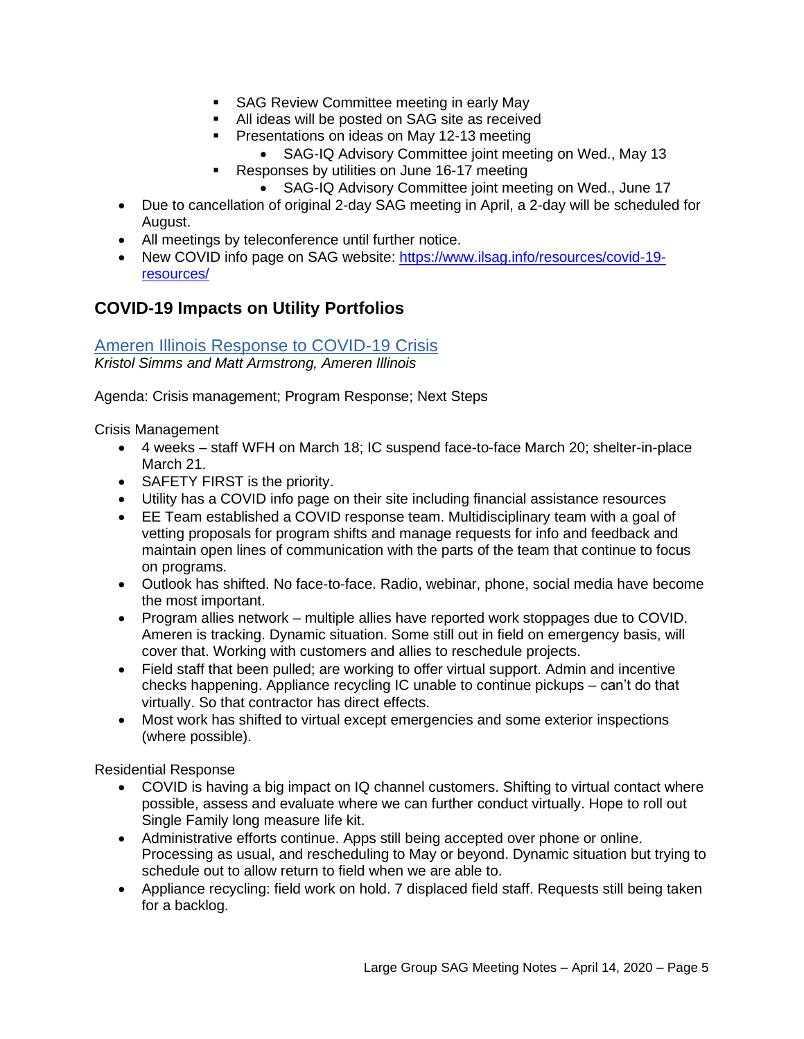- SAG Review Committee meeting in early May
- All ideas will be posted on SAG site as received
- Presentations on ideas on May 12-13 meeting
	- SAG-IQ Advisory Committee joint meeting on Wed., May 13
	- Responses by utilities on June 16-17 meeting
		- SAG-IQ Advisory Committee joint meeting on Wed., June 17
- Due to cancellation of original 2-day SAG meeting in April, a 2-day will be scheduled for August.
- All meetings by teleconference until further notice.
- New COVID info page on SAG website: [https://www.ilsag.info/resources/covid-19](https://www.ilsag.info/resources/covid-19-resources/) [resources/](https://www.ilsag.info/resources/covid-19-resources/)

# **COVID-19 Impacts on Utility Portfolios**

[Ameren Illinois Response to COVID-19 Crisis](https://s3.amazonaws.com/ilsag/AIC-presentation-to-SAG-April-14-COVID-19-Impacts.pdf) *Kristol Simms and Matt Armstrong, Ameren Illinois*

Agenda: Crisis management; Program Response; Next Steps

Crisis Management

- 4 weeks staff WFH on March 18; IC suspend face-to-face March 20; shelter-in-place March 21.
- SAFETY FIRST is the priority.
- Utility has a COVID info page on their site including financial assistance resources
- EE Team established a COVID response team. Multidisciplinary team with a goal of vetting proposals for program shifts and manage requests for info and feedback and maintain open lines of communication with the parts of the team that continue to focus on programs.
- Outlook has shifted. No face-to-face. Radio, webinar, phone, social media have become the most important.
- Program allies network multiple allies have reported work stoppages due to COVID. Ameren is tracking. Dynamic situation. Some still out in field on emergency basis, will cover that. Working with customers and allies to reschedule projects.
- Field staff that been pulled; are working to offer virtual support. Admin and incentive checks happening. Appliance recycling IC unable to continue pickups – can't do that virtually. So that contractor has direct effects.
- Most work has shifted to virtual except emergencies and some exterior inspections (where possible).

Residential Response

- COVID is having a big impact on IQ channel customers. Shifting to virtual contact where possible, assess and evaluate where we can further conduct virtually. Hope to roll out Single Family long measure life kit.
- Administrative efforts continue. Apps still being accepted over phone or online. Processing as usual, and rescheduling to May or beyond. Dynamic situation but trying to schedule out to allow return to field when we are able to.
- Appliance recycling: field work on hold. 7 displaced field staff. Requests still being taken for a backlog.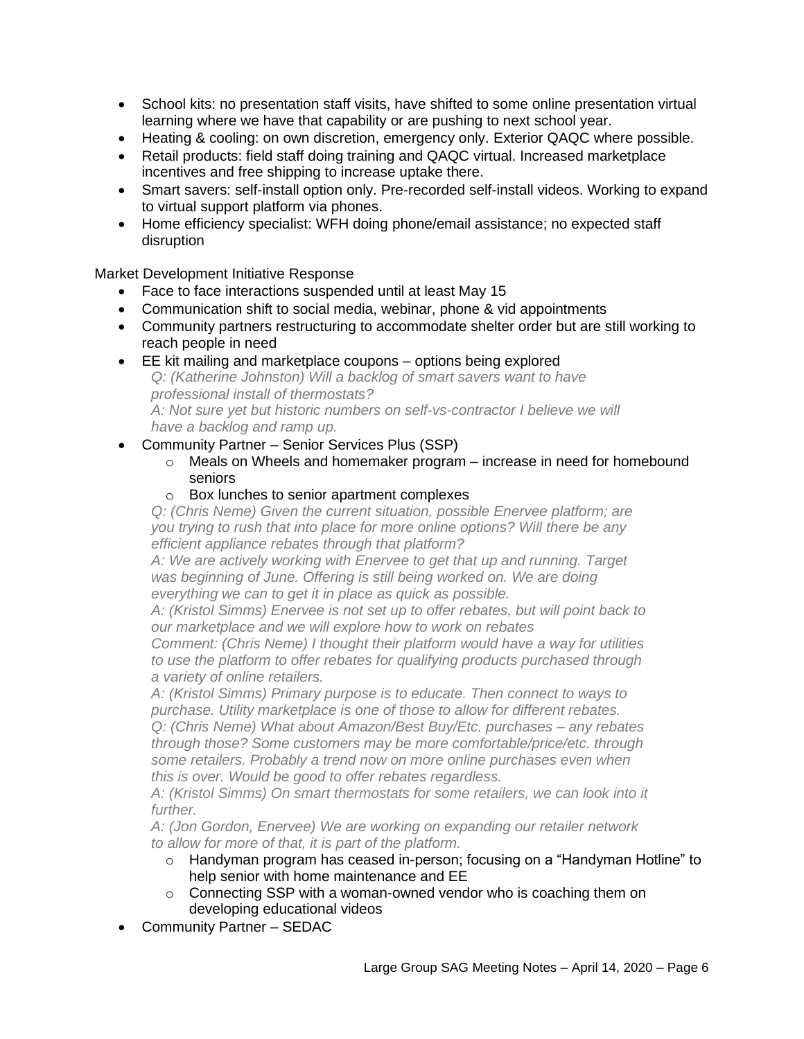- School kits: no presentation staff visits, have shifted to some online presentation virtual learning where we have that capability or are pushing to next school year.
- Heating & cooling: on own discretion, emergency only. Exterior QAQC where possible.
- Retail products: field staff doing training and QAQC virtual. Increased marketplace incentives and free shipping to increase uptake there.
- Smart savers: self-install option only. Pre-recorded self-install videos. Working to expand to virtual support platform via phones.
- Home efficiency specialist: WFH doing phone/email assistance; no expected staff disruption

#### Market Development Initiative Response

- Face to face interactions suspended until at least May 15
- Communication shift to social media, webinar, phone & vid appointments
- Community partners restructuring to accommodate shelter order but are still working to reach people in need
- EE kit mailing and marketplace coupons options being explored *Q: (Katherine Johnston) Will a backlog of smart savers want to have professional install of thermostats? A: Not sure yet but historic numbers on self-vs-contractor I believe we will have a backlog and ramp up.*
- Community Partner Senior Services Plus (SSP)
	- o Meals on Wheels and homemaker program increase in need for homebound seniors
	- o Box lunches to senior apartment complexes

*Q: (Chris Neme) Given the current situation, possible Enervee platform; are you trying to rush that into place for more online options? Will there be any efficient appliance rebates through that platform?*

*A: We are actively working with Enervee to get that up and running. Target*  was beginning of June. Offering is still being worked on. We are doing *everything we can to get it in place as quick as possible.*

*A: (Kristol Simms) Enervee is not set up to offer rebates, but will point back to our marketplace and we will explore how to work on rebates*

*Comment: (Chris Neme) I thought their platform would have a way for utilities to use the platform to offer rebates for qualifying products purchased through a variety of online retailers.* 

*A: (Kristol Simms) Primary purpose is to educate. Then connect to ways to purchase. Utility marketplace is one of those to allow for different rebates.* 

*Q: (Chris Neme) What about Amazon/Best Buy/Etc. purchases – any rebates through those? Some customers may be more comfortable/price/etc. through some retailers. Probably a trend now on more online purchases even when this is over. Would be good to offer rebates regardless.*

*A: (Kristol Simms) On smart thermostats for some retailers, we can look into it further.*

*A: (Jon Gordon, Enervee) We are working on expanding our retailer network to allow for more of that, it is part of the platform.* 

- o Handyman program has ceased in-person; focusing on a "Handyman Hotline" to help senior with home maintenance and EE
- o Connecting SSP with a woman-owned vendor who is coaching them on developing educational videos
- Community Partner SEDAC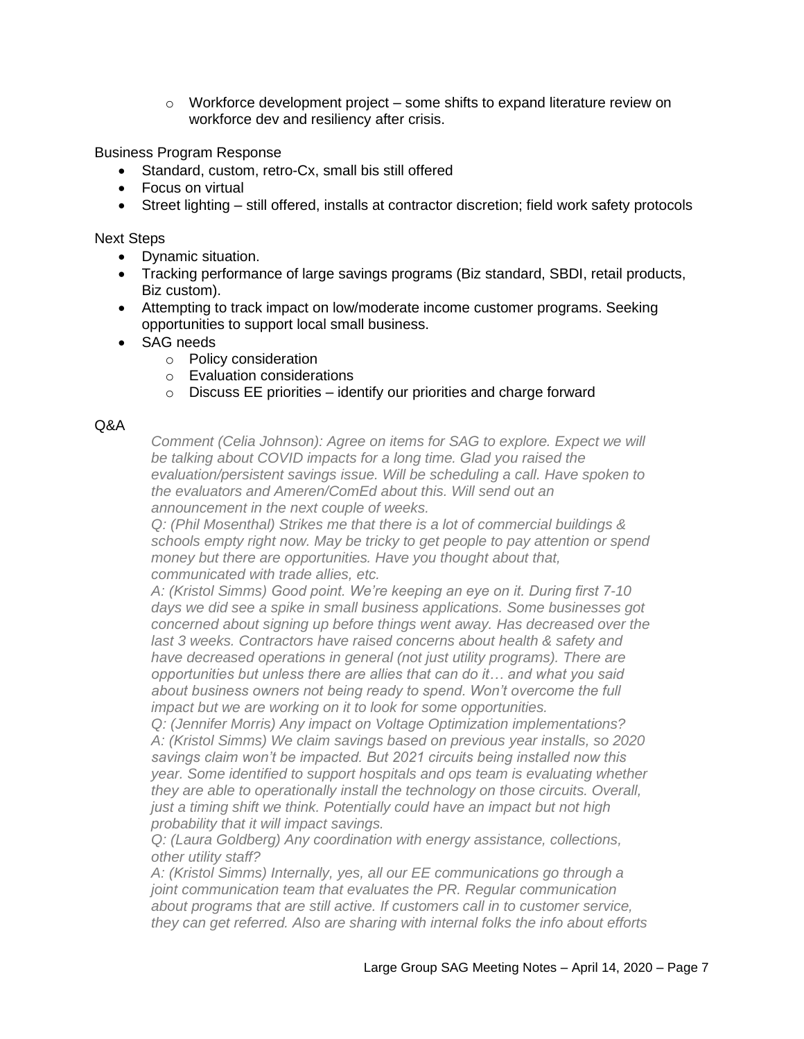$\circ$  Workforce development project – some shifts to expand literature review on workforce dev and resiliency after crisis.

Business Program Response

- Standard, custom, retro-Cx, small bis still offered
- Focus on virtual
- Street lighting still offered, installs at contractor discretion; field work safety protocols

Next Steps

- Dynamic situation.
- Tracking performance of large savings programs (Biz standard, SBDI, retail products, Biz custom).
- Attempting to track impact on low/moderate income customer programs. Seeking opportunities to support local small business.
- SAG needs
	- o Policy consideration
	- o Evaluation considerations
	- $\circ$  Discuss EE priorities identify our priorities and charge forward

#### Q&A

*Comment (Celia Johnson): Agree on items for SAG to explore. Expect we will be talking about COVID impacts for a long time. Glad you raised the evaluation/persistent savings issue. Will be scheduling a call. Have spoken to the evaluators and Ameren/ComEd about this. Will send out an announcement in the next couple of weeks.*

*Q: (Phil Mosenthal) Strikes me that there is a lot of commercial buildings & schools empty right now. May be tricky to get people to pay attention or spend money but there are opportunities. Have you thought about that, communicated with trade allies, etc.*

*A: (Kristol Simms) Good point. We're keeping an eye on it. During first 7-10 days we did see a spike in small business applications. Some businesses got concerned about signing up before things went away. Has decreased over the last 3 weeks. Contractors have raised concerns about health & safety and have decreased operations in general (not just utility programs). There are opportunities but unless there are allies that can do it… and what you said about business owners not being ready to spend. Won't overcome the full impact but we are working on it to look for some opportunities.*

*Q: (Jennifer Morris) Any impact on Voltage Optimization implementations? A: (Kristol Simms) We claim savings based on previous year installs, so 2020 savings claim won't be impacted. But 2021 circuits being installed now this year. Some identified to support hospitals and ops team is evaluating whether they are able to operationally install the technology on those circuits. Overall, just a timing shift we think. Potentially could have an impact but not high probability that it will impact savings.* 

*Q: (Laura Goldberg) Any coordination with energy assistance, collections, other utility staff?*

*A: (Kristol Simms) Internally, yes, all our EE communications go through a joint communication team that evaluates the PR. Regular communication about programs that are still active. If customers call in to customer service, they can get referred. Also are sharing with internal folks the info about efforts*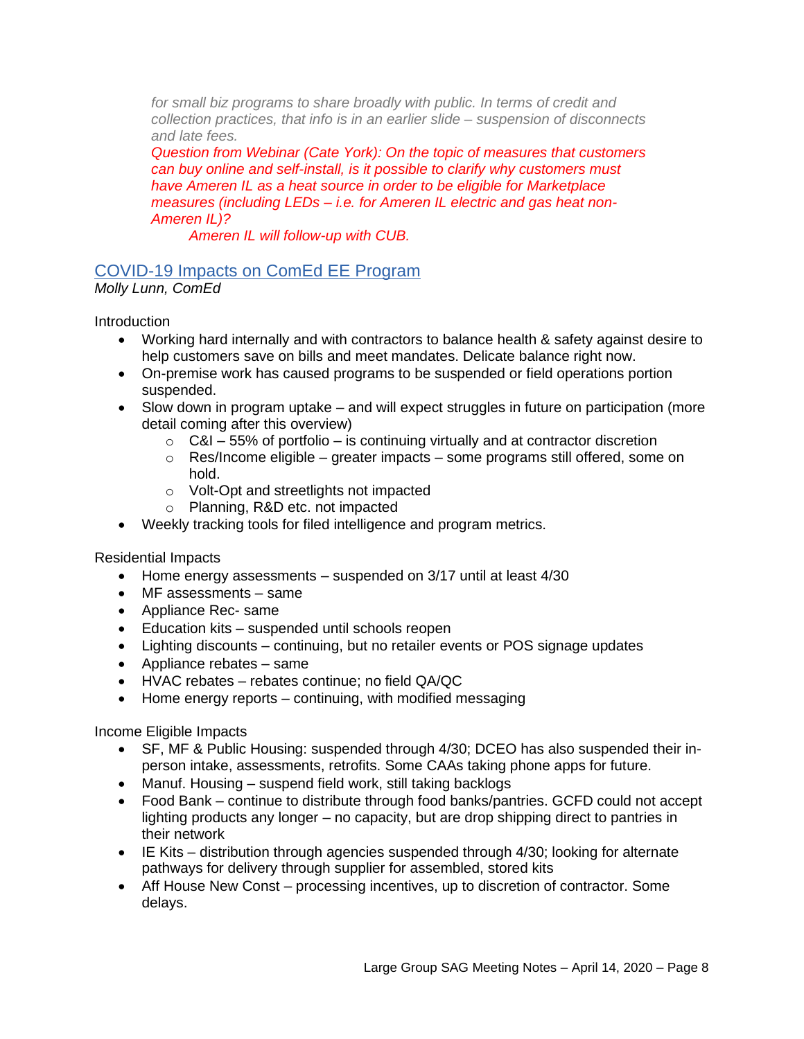*for small biz programs to share broadly with public. In terms of credit and collection practices, that info is in an earlier slide – suspension of disconnects and late fees.* 

*Question from Webinar (Cate York): On the topic of measures that customers can buy online and self-install, is it possible to clarify why customers must have Ameren IL as a heat source in order to be eligible for Marketplace measures (including LEDs – i.e. for Ameren IL electric and gas heat non-Ameren IL)?*

*Ameren IL will follow-up with CUB.*

# [COVID-19 Impacts on ComEd EE Program](https://s3.amazonaws.com/ilsag/ComEd_2020-April-SAG_FINAL.pdf)

*Molly Lunn, ComEd*

**Introduction** 

- Working hard internally and with contractors to balance health & safety against desire to help customers save on bills and meet mandates. Delicate balance right now.
- On-premise work has caused programs to be suspended or field operations portion suspended.
- Slow down in program uptake and will expect struggles in future on participation (more detail coming after this overview)
	- $\circ$  C&I 55% of portfolio is continuing virtually and at contractor discretion
	- o Res/Income eligible greater impacts some programs still offered, some on hold.
	- o Volt-Opt and streetlights not impacted
	- o Planning, R&D etc. not impacted
- Weekly tracking tools for filed intelligence and program metrics.

Residential Impacts

- Home energy assessments suspended on 3/17 until at least 4/30
- MF assessments same
- Appliance Rec- same
- Education kits suspended until schools reopen
- Lighting discounts continuing, but no retailer events or POS signage updates
- Appliance rebates same
- HVAC rebates rebates continue; no field QA/QC
- Home energy reports continuing, with modified messaging

Income Eligible Impacts

- SF, MF & Public Housing: suspended through 4/30; DCEO has also suspended their inperson intake, assessments, retrofits. Some CAAs taking phone apps for future.
- Manuf. Housing suspend field work, still taking backlogs
- Food Bank continue to distribute through food banks/pantries. GCFD could not accept lighting products any longer – no capacity, but are drop shipping direct to pantries in their network
- IE Kits distribution through agencies suspended through 4/30; looking for alternate pathways for delivery through supplier for assembled, stored kits
- Aff House New Const processing incentives, up to discretion of contractor. Some delays.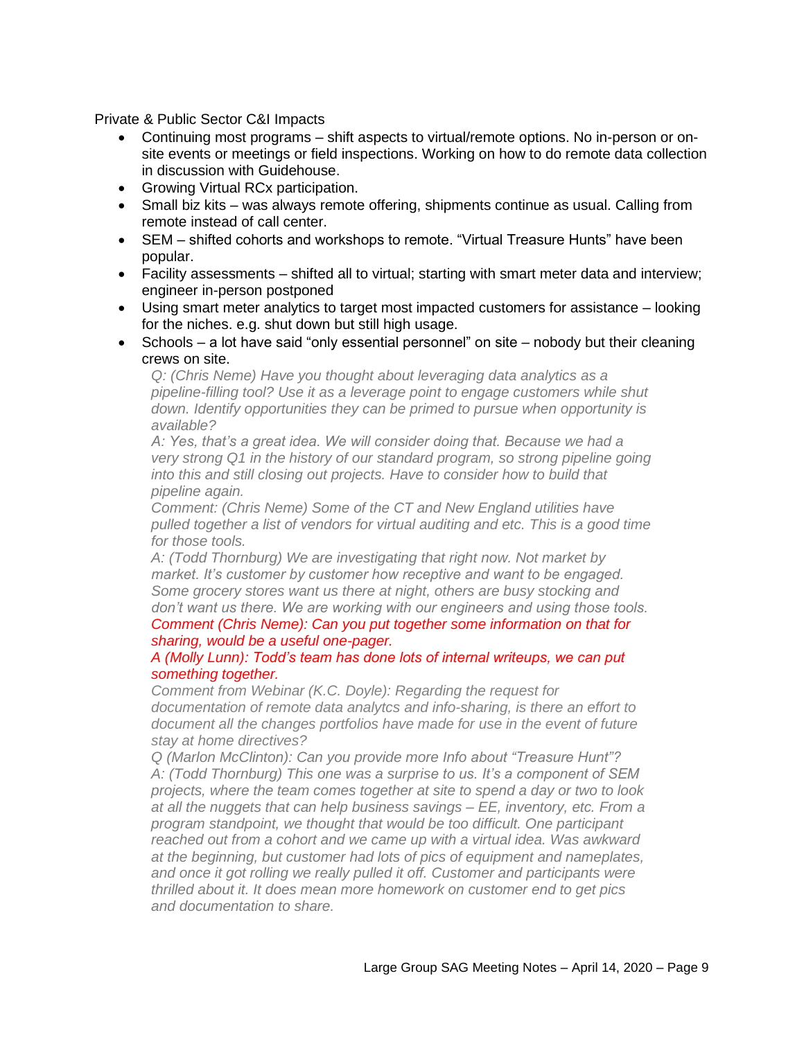Private & Public Sector C&I Impacts

- Continuing most programs shift aspects to virtual/remote options. No in-person or onsite events or meetings or field inspections. Working on how to do remote data collection in discussion with Guidehouse.
- Growing Virtual RCx participation.
- Small biz kits was always remote offering, shipments continue as usual. Calling from remote instead of call center.
- SEM shifted cohorts and workshops to remote. "Virtual Treasure Hunts" have been popular.
- Facility assessments shifted all to virtual; starting with smart meter data and interview; engineer in-person postponed
- Using smart meter analytics to target most impacted customers for assistance looking for the niches. e.g. shut down but still high usage.
- Schools a lot have said "only essential personnel" on site nobody but their cleaning crews on site.

*Q: (Chris Neme) Have you thought about leveraging data analytics as a pipeline-filling tool? Use it as a leverage point to engage customers while shut down. Identify opportunities they can be primed to pursue when opportunity is available?*

*A: Yes, that's a great idea. We will consider doing that. Because we had a very strong Q1 in the history of our standard program, so strong pipeline going into this and still closing out projects. Have to consider how to build that pipeline again.*

*Comment: (Chris Neme) Some of the CT and New England utilities have pulled together a list of vendors for virtual auditing and etc. This is a good time for those tools.*

*A: (Todd Thornburg) We are investigating that right now. Not market by market. It's customer by customer how receptive and want to be engaged. Some grocery stores want us there at night, others are busy stocking and don't want us there. We are working with our engineers and using those tools.*

*Comment (Chris Neme): Can you put together some information on that for sharing, would be a useful one-pager.*

#### *A (Molly Lunn): Todd's team has done lots of internal writeups, we can put something together.*

*Comment from Webinar (K.C. Doyle): Regarding the request for documentation of remote data analytcs and info-sharing, is there an effort to document all the changes portfolios have made for use in the event of future stay at home directives?*

*Q (Marlon McClinton): Can you provide more Info about "Treasure Hunt"? A: (Todd Thornburg) This one was a surprise to us. It's a component of SEM projects, where the team comes together at site to spend a day or two to look at all the nuggets that can help business savings – EE, inventory, etc. From a program standpoint, we thought that would be too difficult. One participant reached out from a cohort and we came up with a virtual idea. Was awkward at the beginning, but customer had lots of pics of equipment and nameplates, and once it got rolling we really pulled it off. Customer and participants were thrilled about it. It does mean more homework on customer end to get pics and documentation to share.*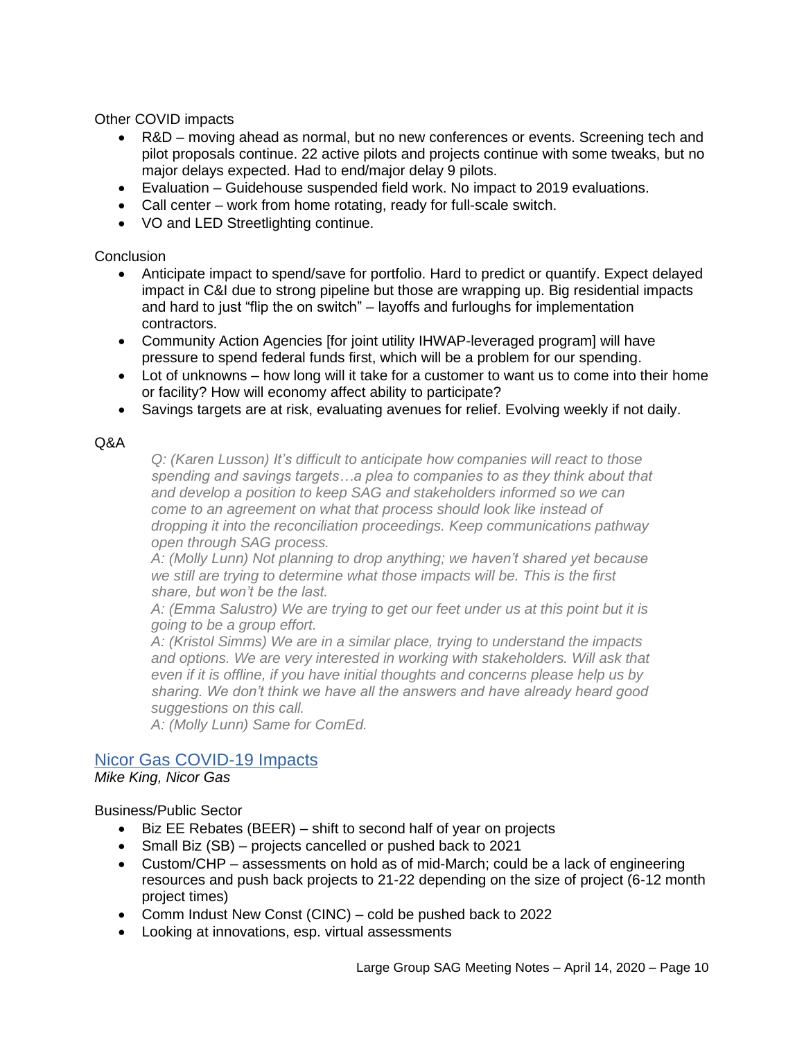Other COVID impacts

- R&D moving ahead as normal, but no new conferences or events. Screening tech and pilot proposals continue. 22 active pilots and projects continue with some tweaks, but no major delays expected. Had to end/major delay 9 pilots.
- Evaluation Guidehouse suspended field work. No impact to 2019 evaluations.
- Call center work from home rotating, ready for full-scale switch.
- VO and LED Streetlighting continue.

#### **Conclusion**

- Anticipate impact to spend/save for portfolio. Hard to predict or quantify. Expect delayed impact in C&I due to strong pipeline but those are wrapping up. Big residential impacts and hard to just "flip the on switch" – layoffs and furloughs for implementation contractors.
- Community Action Agencies [for joint utility IHWAP-leveraged program] will have pressure to spend federal funds first, which will be a problem for our spending.
- Lot of unknowns how long will it take for a customer to want us to come into their home or facility? How will economy affect ability to participate?
- Savings targets are at risk, evaluating avenues for relief. Evolving weekly if not daily.

#### Q&A

*Q: (Karen Lusson) It's difficult to anticipate how companies will react to those spending and savings targets…a plea to companies to as they think about that and develop a position to keep SAG and stakeholders informed so we can come to an agreement on what that process should look like instead of dropping it into the reconciliation proceedings. Keep communications pathway open through SAG process.*

*A: (Molly Lunn) Not planning to drop anything; we haven't shared yet because we still are trying to determine what those impacts will be. This is the first share, but won't be the last.*

*A: (Emma Salustro) We are trying to get our feet under us at this point but it is going to be a group effort.*

*A: (Kristol Simms) We are in a similar place, trying to understand the impacts*  and options. We are very interested in working with stakeholders. Will ask that *even if it is offline, if you have initial thoughts and concerns please help us by sharing. We don't think we have all the answers and have already heard good suggestions on this call.* 

*A: (Molly Lunn) Same for ComEd.* 

### [Nicor Gas COVID-19 Impacts](https://s3.amazonaws.com/ilsag/SAG-Update_Nicor-Gas_COVID-19-Impacts_April-14-2020.pdf)

*Mike King, Nicor Gas*

Business/Public Sector

- Biz EE Rebates (BEER) shift to second half of year on projects
- Small Biz (SB) projects cancelled or pushed back to 2021
- Custom/CHP assessments on hold as of mid-March; could be a lack of engineering resources and push back projects to 21-22 depending on the size of project (6-12 month project times)
- Comm Indust New Const (CINC) cold be pushed back to 2022
- Looking at innovations, esp. virtual assessments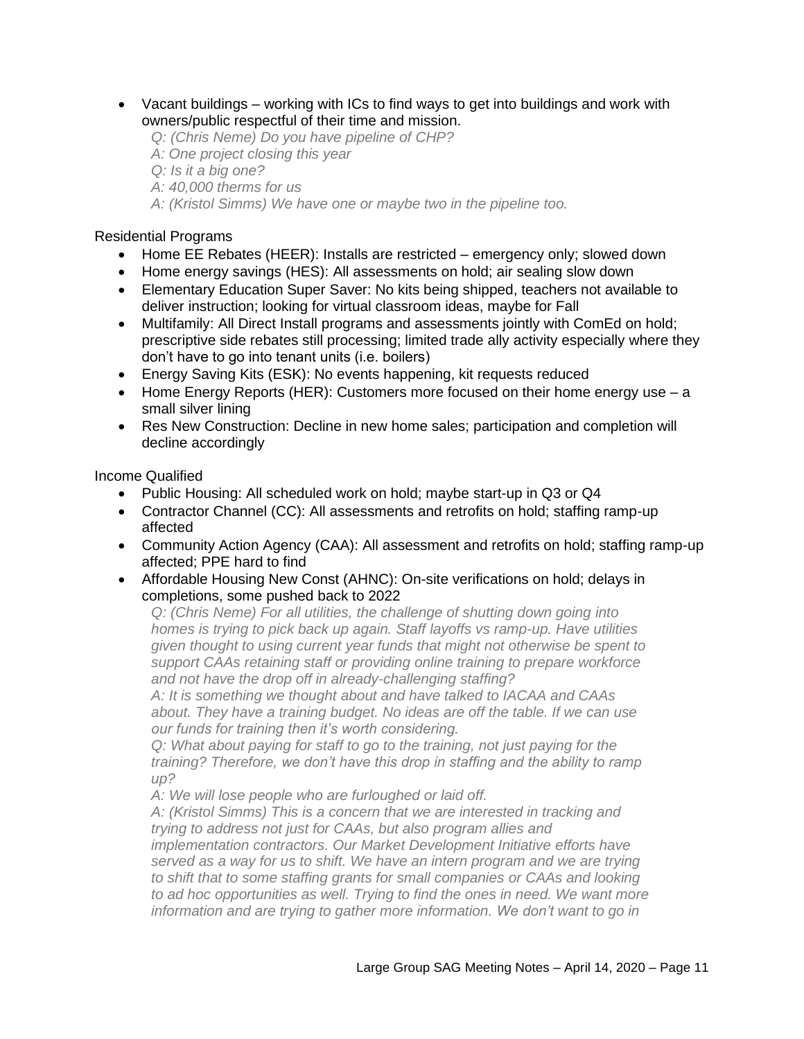• Vacant buildings – working with ICs to find ways to get into buildings and work with owners/public respectful of their time and mission.

*Q: (Chris Neme) Do you have pipeline of CHP? A: One project closing this year Q: Is it a big one? A: 40,000 therms for us*

#### *A: (Kristol Simms) We have one or maybe two in the pipeline too.*

#### Residential Programs

- Home EE Rebates (HEER): Installs are restricted emergency only; slowed down
- Home energy savings (HES): All assessments on hold; air sealing slow down
- Elementary Education Super Saver: No kits being shipped, teachers not available to deliver instruction; looking for virtual classroom ideas, maybe for Fall
- Multifamily: All Direct Install programs and assessments jointly with ComEd on hold; prescriptive side rebates still processing; limited trade ally activity especially where they don't have to go into tenant units (i.e. boilers)
- Energy Saving Kits (ESK): No events happening, kit requests reduced
- Home Energy Reports (HER): Customers more focused on their home energy use a small silver lining
- Res New Construction: Decline in new home sales; participation and completion will decline accordingly

Income Qualified

- Public Housing: All scheduled work on hold; maybe start-up in Q3 or Q4
- Contractor Channel (CC): All assessments and retrofits on hold; staffing ramp-up affected
- Community Action Agency (CAA): All assessment and retrofits on hold; staffing ramp-up affected; PPE hard to find
- Affordable Housing New Const (AHNC): On-site verifications on hold; delays in completions, some pushed back to 2022

*Q: (Chris Neme) For all utilities, the challenge of shutting down going into homes is trying to pick back up again. Staff layoffs vs ramp-up. Have utilities given thought to using current year funds that might not otherwise be spent to support CAAs retaining staff or providing online training to prepare workforce and not have the drop off in already-challenging staffing?*

*A: It is something we thought about and have talked to IACAA and CAAs about. They have a training budget. No ideas are off the table. If we can use our funds for training then it's worth considering.*

*Q: What about paying for staff to go to the training, not just paying for the training? Therefore, we don't have this drop in staffing and the ability to ramp up?*

*A: We will lose people who are furloughed or laid off.* 

*A: (Kristol Simms) This is a concern that we are interested in tracking and trying to address not just for CAAs, but also program allies and* 

*implementation contractors. Our Market Development Initiative efforts have served as a way for us to shift. We have an intern program and we are trying to shift that to some staffing grants for small companies or CAAs and looking to ad hoc opportunities as well. Trying to find the ones in need. We want more information and are trying to gather more information. We don't want to go in*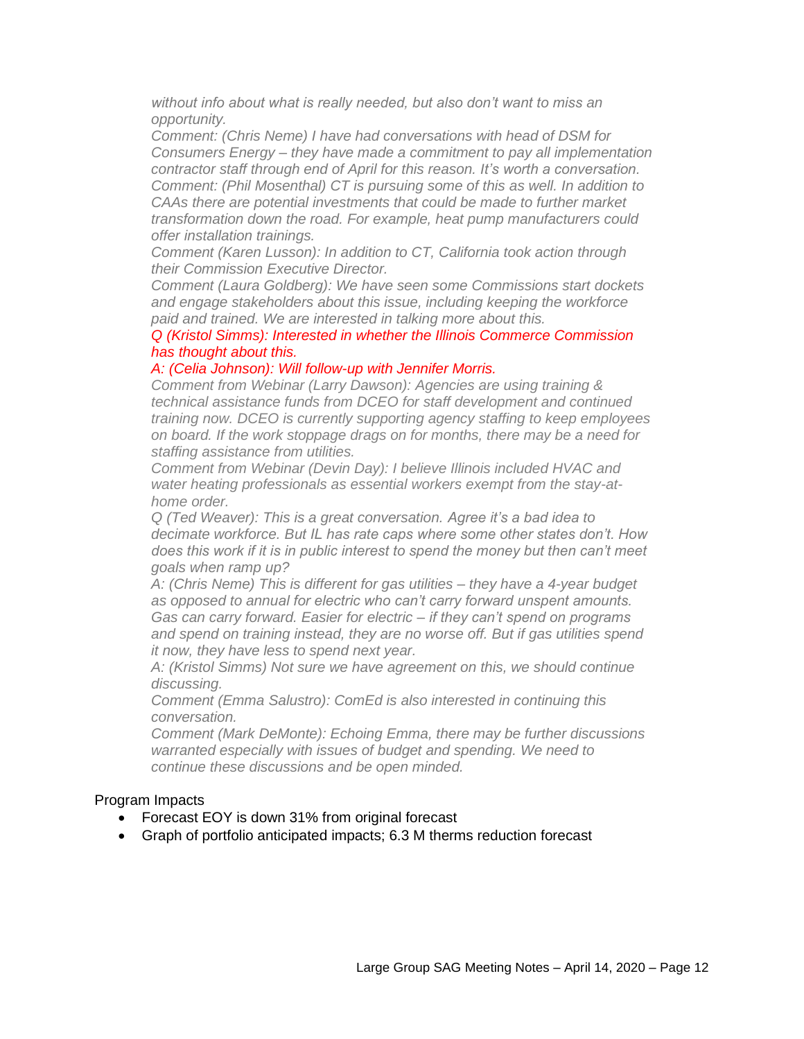*without info about what is really needed, but also don't want to miss an opportunity.*

*Comment: (Chris Neme) I have had conversations with head of DSM for Consumers Energy – they have made a commitment to pay all implementation contractor staff through end of April for this reason. It's worth a conversation. Comment: (Phil Mosenthal) CT is pursuing some of this as well. In addition to CAAs there are potential investments that could be made to further market transformation down the road. For example, heat pump manufacturers could offer installation trainings.*

*Comment (Karen Lusson): In addition to CT, California took action through their Commission Executive Director.*

*Comment (Laura Goldberg): We have seen some Commissions start dockets and engage stakeholders about this issue, including keeping the workforce paid and trained. We are interested in talking more about this.*

*Q (Kristol Simms): Interested in whether the Illinois Commerce Commission has thought about this.*

#### *A: (Celia Johnson): Will follow-up with Jennifer Morris.*

*Comment from Webinar (Larry Dawson): Agencies are using training & technical assistance funds from DCEO for staff development and continued training now. DCEO is currently supporting agency staffing to keep employees on board. If the work stoppage drags on for months, there may be a need for staffing assistance from utilities.*

*Comment from Webinar (Devin Day): I believe Illinois included HVAC and water heating professionals as essential workers exempt from the stay-athome order.*

*Q (Ted Weaver): This is a great conversation. Agree it's a bad idea to decimate workforce. But IL has rate caps where some other states don't. How does this work if it is in public interest to spend the money but then can't meet goals when ramp up?* 

*A: (Chris Neme) This is different for gas utilities – they have a 4-year budget as opposed to annual for electric who can't carry forward unspent amounts. Gas can carry forward. Easier for electric – if they can't spend on programs and spend on training instead, they are no worse off. But if gas utilities spend it now, they have less to spend next year.*

*A: (Kristol Simms) Not sure we have agreement on this, we should continue discussing.*

*Comment (Emma Salustro): ComEd is also interested in continuing this conversation.* 

*Comment (Mark DeMonte): Echoing Emma, there may be further discussions warranted especially with issues of budget and spending. We need to continue these discussions and be open minded.*

#### Program Impacts

- Forecast EOY is down 31% from original forecast
- Graph of portfolio anticipated impacts; 6.3 M therms reduction forecast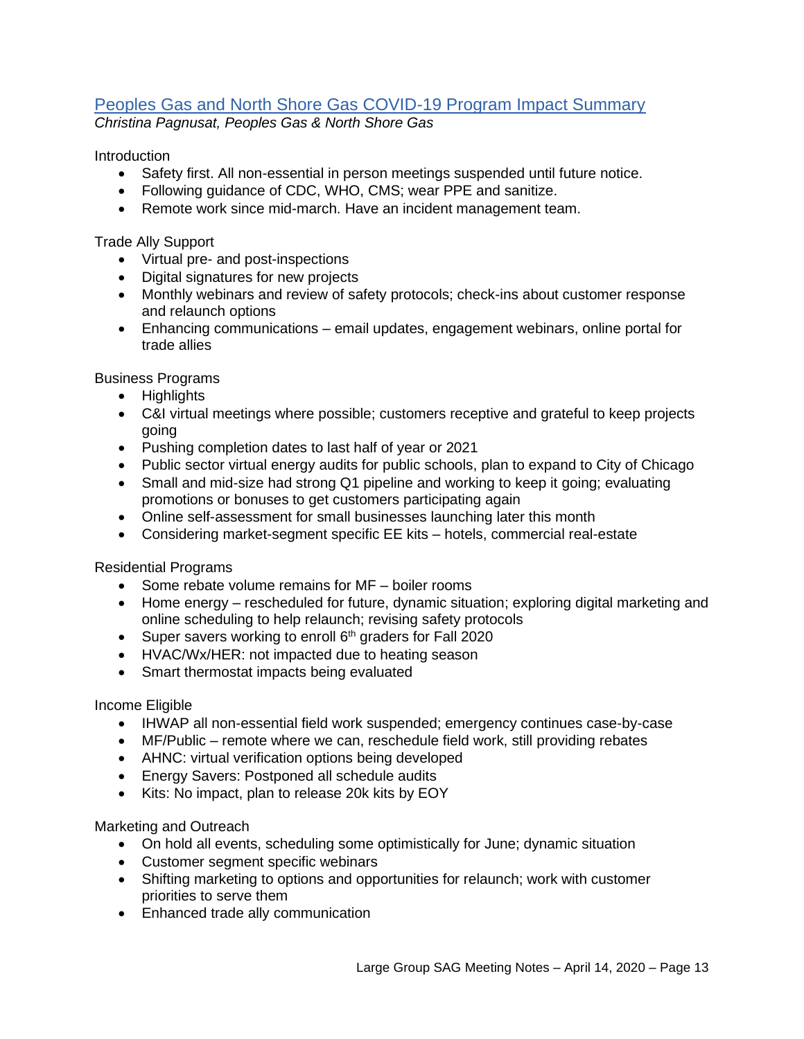# [Peoples Gas and North Shore Gas COVID-19 Program Impact Summary](https://s3.amazonaws.com/ilsag/PGLNSG_SAG_COVID19-Impacts_04132020_FINAL.pdf)

*Christina Pagnusat, Peoples Gas & North Shore Gas*

Introduction

- Safety first. All non-essential in person meetings suspended until future notice.
- Following guidance of CDC, WHO, CMS; wear PPE and sanitize.
- Remote work since mid-march. Have an incident management team.

Trade Ally Support

- Virtual pre- and post-inspections
- Digital signatures for new projects
- Monthly webinars and review of safety protocols; check-ins about customer response and relaunch options
- Enhancing communications email updates, engagement webinars, online portal for trade allies

Business Programs

- Highlights
- C&I virtual meetings where possible; customers receptive and grateful to keep projects going
- Pushing completion dates to last half of year or 2021
- Public sector virtual energy audits for public schools, plan to expand to City of Chicago
- Small and mid-size had strong Q1 pipeline and working to keep it going; evaluating promotions or bonuses to get customers participating again
- Online self-assessment for small businesses launching later this month
- Considering market-segment specific EE kits hotels, commercial real-estate

Residential Programs

- Some rebate volume remains for MF boiler rooms
- Home energy rescheduled for future, dynamic situation; exploring digital marketing and online scheduling to help relaunch; revising safety protocols
- Super savers working to enroll 6<sup>th</sup> graders for Fall 2020
- HVAC/Wx/HER: not impacted due to heating season
- Smart thermostat impacts being evaluated

Income Eligible

- IHWAP all non-essential field work suspended; emergency continues case-by-case
- MF/Public remote where we can, reschedule field work, still providing rebates
- AHNC: virtual verification options being developed
- Energy Savers: Postponed all schedule audits
- Kits: No impact, plan to release 20k kits by EOY

Marketing and Outreach

- On hold all events, scheduling some optimistically for June; dynamic situation
- Customer segment specific webinars
- Shifting marketing to options and opportunities for relaunch; work with customer priorities to serve them
- Enhanced trade ally communication